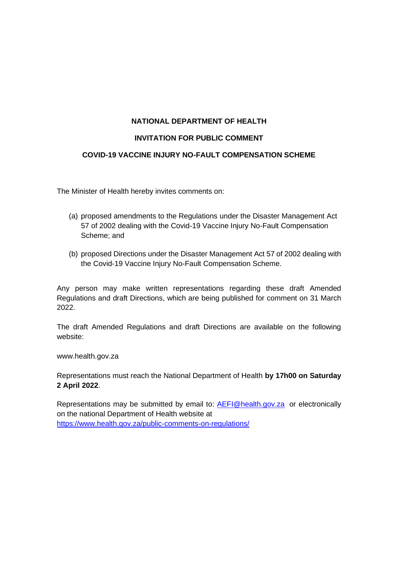## **NATIONAL DEPARTMENT OF HEALTH**

#### **INVITATION FOR PUBLIC COMMENT**

#### **COVID-19 VACCINE INJURY NO-FAULT COMPENSATION SCHEME**

The Minister of Health hereby invites comments on:

- (a) proposed amendments to the Regulations under the Disaster Management Act 57 of 2002 dealing with the Covid-19 Vaccine Injury No-Fault Compensation Scheme; and
- (b) proposed Directions under the Disaster Management Act 57 of 2002 dealing with the Covid-19 Vaccine Injury No-Fault Compensation Scheme.

Any person may make written representations regarding these draft Amended Regulations and draft Directions, which are being published for comment on 31 March 2022.

The draft Amended Regulations and draft Directions are available on the following website:

www.health.gov.za

Representations must reach the National Department of Health **by 17h00 on Saturday 2 April 2022**.

Representations may be submitted by email to: [AEFI@health.gov.za](mailto:AEFI@health.gov.za) or electronically on the national Department of Health website at <https://www.health.gov.za/public-comments-on-regulations/>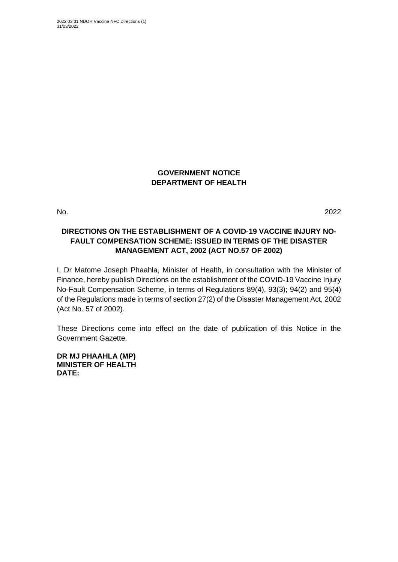# **GOVERNMENT NOTICE DEPARTMENT OF HEALTH**

No. 2022

# **DIRECTIONS ON THE ESTABLISHMENT OF A COVID-19 VACCINE INJURY NO-FAULT COMPENSATION SCHEME: ISSUED IN TERMS OF THE DISASTER MANAGEMENT ACT, 2002 (ACT NO.57 OF 2002)**

I, Dr Matome Joseph Phaahla, Minister of Health, in consultation with the Minister of Finance, hereby publish Directions on the establishment of the COVID-19 Vaccine Injury No-Fault Compensation Scheme, in terms of Regulations 89(4), 93(3); 94(2) and 95(4) of the Regulations made in terms of section 27(2) of the Disaster Management Act, 2002 (Act No. 57 of 2002).

These Directions come into effect on the date of publication of this Notice in the Government Gazette.

**DR MJ PHAAHLA (MP) MINISTER OF HEALTH DATE:**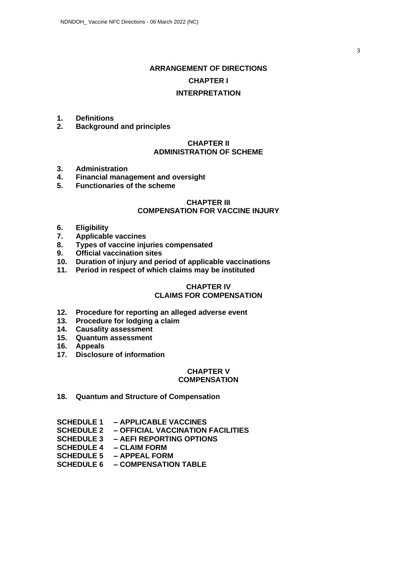# **ARRANGEMENT OF DIRECTIONS CHAPTER I INTERPRETATION**

- **1. Definitions**
- **2. Background and principles**

## **CHAPTER II ADMINISTRATION OF SCHEME**

- **3. Administration**
- **4. Financial management and oversight**
- **5. Functionaries of the scheme**

#### **CHAPTER III COMPENSATION FOR VACCINE INJURY**

- **6. Eligibility**
- **7. Applicable vaccines**
- **8. Types of vaccine injuries compensated**
- **9. Official vaccination sites**
- **10. Duration of injury and period of applicable vaccinations**
- **11. Period in respect of which claims may be instituted**

# **CHAPTER IV**

# **CLAIMS FOR COMPENSATION**

- **12. Procedure for reporting an alleged adverse event**
- **13. Procedure for lodging a claim**
- **14. Causality assessment**
- **15. Quantum assessment**
- **16. Appeals**
- **17. Disclosure of information**

#### **CHAPTER V COMPENSATION**

**18. Quantum and Structure of Compensation**

|                                                                                                                                                                                                                                                                                                                                                                                                                             | SCHEDULE 1 - APPLICABLE VACCINES             |
|-----------------------------------------------------------------------------------------------------------------------------------------------------------------------------------------------------------------------------------------------------------------------------------------------------------------------------------------------------------------------------------------------------------------------------|----------------------------------------------|
|                                                                                                                                                                                                                                                                                                                                                                                                                             | SCHEDULE 2 - OFFICIAL VACCINATION FACILITIES |
|                                                                                                                                                                                                                                                                                                                                                                                                                             | SCHEDULE 3 - AEFI REPORTING OPTIONS          |
|                                                                                                                                                                                                                                                                                                                                                                                                                             | SCHEDULE 4 – CLAIM FORM                      |
|                                                                                                                                                                                                                                                                                                                                                                                                                             | SCHEDULE 5 - APPEAL FORM                     |
| $\begin{array}{c} \mathbf{A} \mathbf{A} \mathbf{B} \mathbf{B} \mathbf{A} \mathbf{B} \mathbf{A} \mathbf{B} \mathbf{A} \mathbf{B} \mathbf{A} \mathbf{A} \mathbf{A} \mathbf{A} \mathbf{A} \mathbf{A} \mathbf{A} \mathbf{A} \mathbf{A} \mathbf{A} \mathbf{A} \mathbf{A} \mathbf{A} \mathbf{A} \mathbf{A} \mathbf{A} \mathbf{A} \mathbf{A} \mathbf{A} \mathbf{A} \mathbf{A} \mathbf{A} \mathbf{A} \mathbf{A} \mathbf{A} \mathbf$ |                                              |

**SCHEDULE 6 – COMPENSATION TABLE**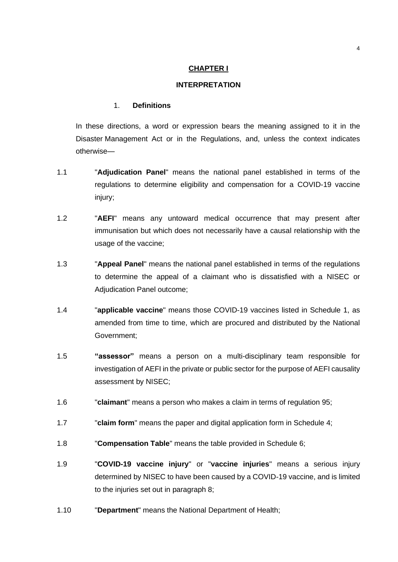#### **CHAPTER I**

#### **INTERPRETATION**

#### 1. **Definitions**

In these directions, a word or expression bears the meaning assigned to it in the Disaster Management Act or in the Regulations, and, unless the context indicates otherwise—

- 1.1 "**Adjudication Panel**" means the national panel established in terms of the regulations to determine eligibility and compensation for a COVID-19 vaccine injury;
- 1.2 "**AEFI**" means any untoward medical occurrence that may present after immunisation but which does not necessarily have a causal relationship with the usage of the vaccine;
- 1.3 "**Appeal Panel**" means the national panel established in terms of the regulations to determine the appeal of a claimant who is dissatisfied with a NISEC or Adiudication Panel outcome:
- 1.4 "**applicable vaccine**" means those COVID-19 vaccines listed in Schedule 1, as amended from time to time, which are procured and distributed by the National Government;
- 1.5 **"assessor"** means a person on a multi-disciplinary team responsible for investigation of AEFI in the private or public sector for the purpose of AEFI causality assessment by NISEC;
- 1.6 "**claimant**" means a person who makes a claim in terms of regulation 95;
- 1.7 "**claim form**" means the paper and digital application form in Schedule 4;
- 1.8 "**Compensation Table**" means the table provided in Schedule 6;
- 1.9 "**COVID-19 vaccine injury**" or "**vaccine injuries**" means a serious injury determined by NISEC to have been caused by a COVID-19 vaccine, and is limited to the injuries set out in paragraph 8;
- 1.10 "**Department**" means the National Department of Health;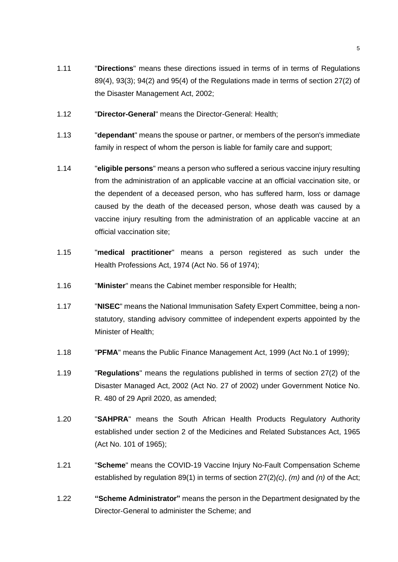- 1.11 "**Directions**" means these directions issued in terms of in terms of Regulations 89(4), 93(3); 94(2) and 95(4) of the Regulations made in terms of section 27(2) of the Disaster Management Act, 2002;
- 1.12 "**Director-General**" means the Director-General: Health;
- 1.13 "**dependant**" means the spouse or partner, or members of the person's immediate family in respect of whom the person is liable for family care and support;
- 1.14 "**eligible persons**" means a person who suffered a serious vaccine injury resulting from the administration of an applicable vaccine at an official vaccination site, or the dependent of a deceased person, who has suffered harm, loss or damage caused by the death of the deceased person, whose death was caused by a vaccine injury resulting from the administration of an applicable vaccine at an official vaccination site;
- 1.15 "**medical practitioner**" means a person registered as such under the Health Professions Act, 1974 (Act No. 56 of 1974);
- 1.16 "**Minister**" means the Cabinet member responsible for Health;
- 1.17 "**NISEC**" means the National Immunisation Safety Expert Committee, being a nonstatutory, standing advisory committee of independent experts appointed by the Minister of Health;
- 1.18 "**PFMA**" means the Public Finance Management Act, 1999 (Act No.1 of 1999);
- 1.19 "**Regulations**" means the regulations published in terms of section 27(2) of the Disaster Managed Act, 2002 (Act No. 27 of 2002) under Government Notice No. R. 480 of 29 April 2020, as amended;
- 1.20 "**SAHPRA**" means the South African Health Products Regulatory Authority established under section 2 of the Medicines and Related Substances Act, 1965 (Act No. 101 of 1965);
- 1.21 "**Scheme**" means the COVID-19 Vaccine Injury No-Fault Compensation Scheme established by regulation 89(1) in terms of section 27(2)*(c)*, *(m)* and *(n)* of the Act;
- 1.22 **"Scheme Administrator"** means the person in the Department designated by the Director-General to administer the Scheme; and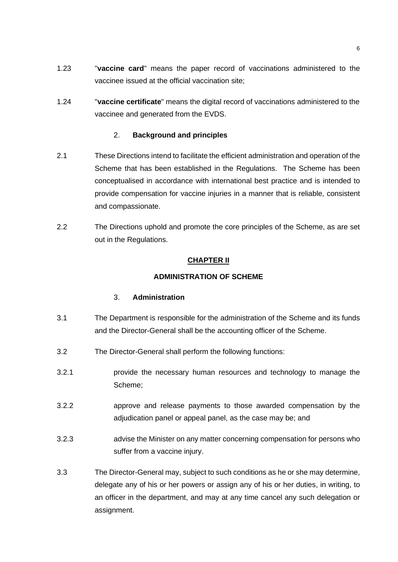- 1.23 "**vaccine card**" means the paper record of vaccinations administered to the vaccinee issued at the official vaccination site;
- 1.24 "**vaccine certificate**" means the digital record of vaccinations administered to the vaccinee and generated from the EVDS.

## 2. **Background and principles**

- 2.1 These Directions intend to facilitate the efficient administration and operation of the Scheme that has been established in the Regulations. The Scheme has been conceptualised in accordance with international best practice and is intended to provide compensation for vaccine injuries in a manner that is reliable, consistent and compassionate.
- 2.2 The Directions uphold and promote the core principles of the Scheme, as are set out in the Regulations.

# **CHAPTER II**

## **ADMINISTRATION OF SCHEME**

#### 3. **Administration**

- 3.1 The Department is responsible for the administration of the Scheme and its funds and the Director-General shall be the accounting officer of the Scheme.
- <span id="page-5-1"></span>3.2 The Director-General shall perform the following functions:
- 3.2.1 provide the necessary human resources and technology to manage the Scheme;
- 3.2.2 approve and release payments to those awarded compensation by the adjudication panel or appeal panel, as the case may be; and
- 3.2.3 advise the Minister on any matter concerning compensation for persons who suffer from a vaccine injury.
- <span id="page-5-0"></span>3.3 The Director-General may, subject to such conditions as he or she may determine, delegate any of his or her powers or assign any of his or her duties, in writing, to an officer in the department, and may at any time cancel any such delegation or assignment.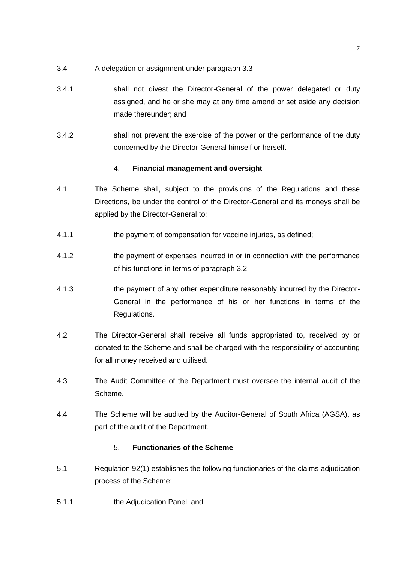- 3.4 A delegation or assignment under paragraph [3.3](#page-5-0) –
- 3.4.1 shall not divest the Director-General of the power delegated or duty assigned, and he or she may at any time amend or set aside any decision made thereunder; and
- 3.4.2 shall not prevent the exercise of the power or the performance of the duty concerned by the Director-General himself or herself.

# 4. **Financial management and oversight**

- 4.1 The Scheme shall, subject to the provisions of the Regulations and these Directions, be under the control of the Director-General and its moneys shall be applied by the Director-General to:
- 4.1.1 the payment of compensation for vaccine injuries, as defined;
- 4.1.2 the payment of expenses incurred in or in connection with the performance of his functions in terms of paragraph [3.2;](#page-5-1)
- 4.1.3 the payment of any other expenditure reasonably incurred by the Director-General in the performance of his or her functions in terms of the Regulations.
- 4.2 The Director-General shall receive all funds appropriated to, received by or donated to the Scheme and shall be charged with the responsibility of accounting for all money received and utilised.
- 4.3 The Audit Committee of the Department must oversee the internal audit of the Scheme.
- 4.4 The Scheme will be audited by the Auditor-General of South Africa (AGSA), as part of the audit of the Department.

## 5. **Functionaries of the Scheme**

- 5.1 Regulation 92(1) establishes the following functionaries of the claims adjudication process of the Scheme:
- 5.1.1 the Adjudication Panel; and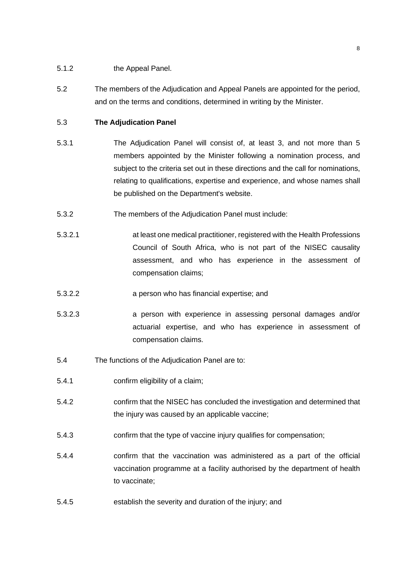- 5.1.2 the Appeal Panel.
- 5.2 The members of the Adjudication and Appeal Panels are appointed for the period, and on the terms and conditions, determined in writing by the Minister.

## 5.3 **The Adjudication Panel**

- 5.3.1 The Adjudication Panel will consist of, at least 3, and not more than 5 members appointed by the Minister following a nomination process, and subject to the criteria set out in these directions and the call for nominations, relating to qualifications, expertise and experience, and whose names shall be published on the Department's website.
- 5.3.2 The members of the Adjudication Panel must include:
- 5.3.2.1 at least one medical practitioner, registered with the Health Professions Council of South Africa, who is not part of the NISEC causality assessment, and who has experience in the assessment of compensation claims;
- 5.3.2.2 a person who has financial expertise; and
- 5.3.2.3 a person with experience in assessing personal damages and/or actuarial expertise, and who has experience in assessment of compensation claims.
- 5.4 The functions of the Adjudication Panel are to:
- 5.4.1 confirm eligibility of a claim;
- 5.4.2 confirm that the NISEC has concluded the investigation and determined that the injury was caused by an applicable vaccine;
- 5.4.3 confirm that the type of vaccine injury qualifies for compensation;
- 5.4.4 confirm that the vaccination was administered as a part of the official vaccination programme at a facility authorised by the department of health to vaccinate;
- 5.4.5 establish the severity and duration of the injury; and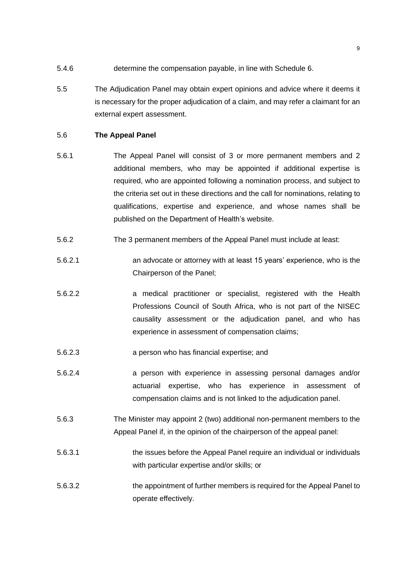- 5.4.6 determine the compensation payable, in line with Schedule 6.
- 5.5 The Adjudication Panel may obtain expert opinions and advice where it deems it is necessary for the proper adjudication of a claim, and may refer a claimant for an external expert assessment.

#### 5.6 **The Appeal Panel**

- 5.6.1 The Appeal Panel will consist of 3 or more permanent members and 2 additional members, who may be appointed if additional expertise is required, who are appointed following a nomination process, and subject to the criteria set out in these directions and the call for nominations, relating to qualifications, expertise and experience, and whose names shall be published on the Department of Health's website.
- 5.6.2 The 3 permanent members of the Appeal Panel must include at least:
- 5.6.2.1 an advocate or attorney with at least 15 years' experience, who is the Chairperson of the Panel;
- 5.6.2.2 a medical practitioner or specialist, registered with the Health Professions Council of South Africa, who is not part of the NISEC causality assessment or the adjudication panel, and who has experience in assessment of compensation claims;
- 5.6.2.3 a person who has financial expertise; and
- 5.6.2.4 a person with experience in assessing personal damages and/or actuarial expertise, who has experience in assessment of compensation claims and is not linked to the adjudication panel.
- 5.6.3 The Minister may appoint 2 (two) additional non-permanent members to the Appeal Panel if, in the opinion of the chairperson of the appeal panel:
- 5.6.3.1 the issues before the Appeal Panel require an individual or individuals with particular expertise and/or skills; or
- 5.6.3.2 the appointment of further members is required for the Appeal Panel to operate effectively.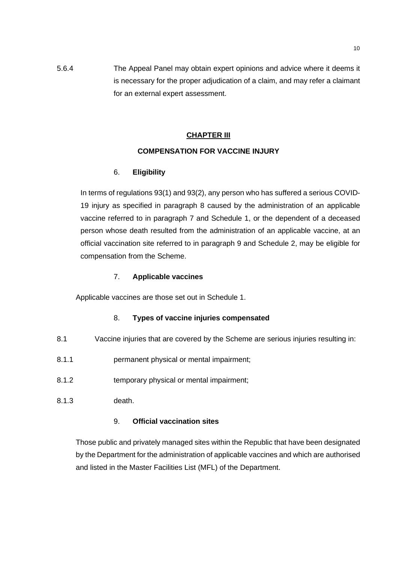# 5.6.4 The Appeal Panel may obtain expert opinions and advice where it deems it is necessary for the proper adjudication of a claim, and may refer a claimant for an external expert assessment.

# **CHAPTER III**

# **COMPENSATION FOR VACCINE INJURY**

# 6. **Eligibility**

In terms of regulations 93(1) and 93(2), any person who has suffered a serious COVID-19 injury as specified in paragraph 8 caused by the administration of an applicable vaccine referred to in paragraph 7 and Schedule 1, or the dependent of a deceased person whose death resulted from the administration of an applicable vaccine, at an official vaccination site referred to in paragraph 9 and Schedule 2, may be eligible for compensation from the Scheme.

## 7. **Applicable vaccines**

Applicable vaccines are those set out in Schedule 1.

# 8. **Types of vaccine injuries compensated**

- 8.1 Vaccine injuries that are covered by the Scheme are serious injuries resulting in:
- 8.1.1 permanent physical or mental impairment;
- 8.1.2 temporary physical or mental impairment;
- 8.1.3 death.

## 9. **Official vaccination sites**

Those public and privately managed sites within the Republic that have been designated by the Department for the administration of applicable vaccines and which are authorised and listed in the Master Facilities List (MFL) of the Department.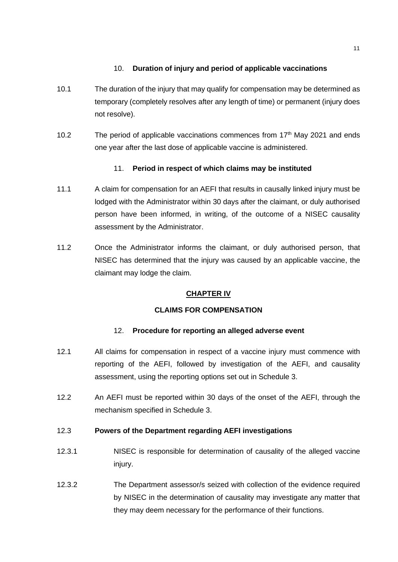# 10. **Duration of injury and period of applicable vaccinations**

- 10.1 The duration of the injury that may qualify for compensation may be determined as temporary (completely resolves after any length of time) or permanent (injury does not resolve).
- 10.2 The period of applicable vaccinations commences from  $17<sup>th</sup>$  May 2021 and ends one year after the last dose of applicable vaccine is administered.

# 11. **Period in respect of which claims may be instituted**

- 11.1 A claim for compensation for an AEFI that results in causally linked injury must be lodged with the Administrator within 30 days after the claimant, or duly authorised person have been informed, in writing, of the outcome of a NISEC causality assessment by the Administrator.
- 11.2 Once the Administrator informs the claimant, or duly authorised person, that NISEC has determined that the injury was caused by an applicable vaccine, the claimant may lodge the claim.

# **CHAPTER IV**

## **CLAIMS FOR COMPENSATION**

## 12. **Procedure for reporting an alleged adverse event**

- 12.1 All claims for compensation in respect of a vaccine injury must commence with reporting of the AEFI, followed by investigation of the AEFI, and causality assessment, using the reporting options set out in Schedule 3.
- 12.2 An AEFI must be reported within 30 days of the onset of the AEFI, through the mechanism specified in Schedule 3.

## 12.3 **Powers of the Department regarding AEFI investigations**

- 12.3.1 NISEC is responsible for determination of causality of the alleged vaccine injury.
- 12.3.2 The Department assessor/s seized with collection of the evidence required by NISEC in the determination of causality may investigate any matter that they may deem necessary for the performance of their functions.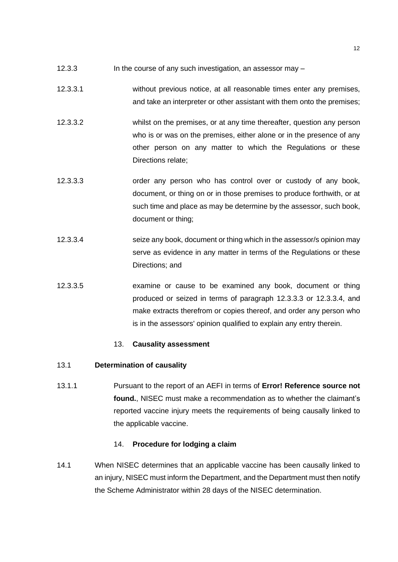- 12.3.3 In the course of any such investigation, an assessor may –
- 12.3.3.1 without previous notice, at all reasonable times enter any premises, and take an interpreter or other assistant with them onto the premises;
- 12.3.3.2 whilst on the premises, or at any time thereafter, question any person who is or was on the premises, either alone or in the presence of any other person on any matter to which the Regulations or these Directions relate;
- <span id="page-11-0"></span>12.3.3.3 order any person who has control over or custody of any book, document, or thing on or in those premises to produce forthwith, or at such time and place as may be determine by the assessor, such book, document or thing;
- <span id="page-11-1"></span>12.3.3.4 seize any book, document or thing which in the assessor/s opinion may serve as evidence in any matter in terms of the Regulations or these Directions; and
- 12.3.3.5 examine or cause to be examined any book, document or thing produced or seized in terms of paragraph [12.3.3.3](#page-11-0) or [12.3.3.4,](#page-11-1) and make extracts therefrom or copies thereof, and order any person who is in the assessors' opinion qualified to explain any entry therein.

## 13. **Causality assessment**

## 13.1 **Determination of causality**

13.1.1 Pursuant to the report of an AEFI in terms of **Error! Reference source not found.**, NISEC must make a recommendation as to whether the claimant's reported vaccine injury meets the requirements of being causally linked to the applicable vaccine.

## 14. **Procedure for lodging a claim**

14.1 When NISEC determines that an applicable vaccine has been causally linked to an injury, NISEC must inform the Department, and the Department must then notify the Scheme Administrator within 28 days of the NISEC determination.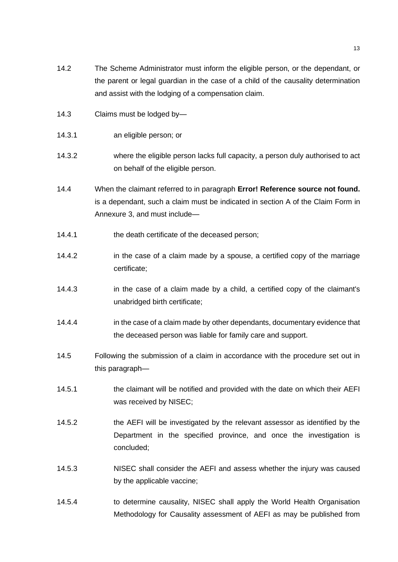- 14.2 The Scheme Administrator must inform the eligible person, or the dependant, or the parent or legal guardian in the case of a child of the causality determination and assist with the lodging of a compensation claim.
- 14.3 Claims must be lodged by—
- 14.3.1 an eligible person; or
- 14.3.2 where the eligible person lacks full capacity, a person duly authorised to act on behalf of the eligible person.
- 14.4 When the claimant referred to in paragraph **Error! Reference source not found.** is a dependant, such a claim must be indicated in section A of the Claim Form in Annexure 3, and must include—
- 14.4.1 the death certificate of the deceased person;
- 14.4.2 in the case of a claim made by a spouse, a certified copy of the marriage certificate;
- 14.4.3 in the case of a claim made by a child, a certified copy of the claimant's unabridged birth certificate;
- 14.4.4 in the case of a claim made by other dependants, documentary evidence that the deceased person was liable for family care and support.
- 14.5 Following the submission of a claim in accordance with the procedure set out in this paragraph—
- 14.5.1 the claimant will be notified and provided with the date on which their AEFI was received by NISEC;
- 14.5.2 the AEFI will be investigated by the relevant assessor as identified by the Department in the specified province, and once the investigation is concluded;
- 14.5.3 NISEC shall consider the AEFI and assess whether the injury was caused by the applicable vaccine;
- 14.5.4 to determine causality, NISEC shall apply the World Health Organisation Methodology for Causality assessment of AEFI as may be published from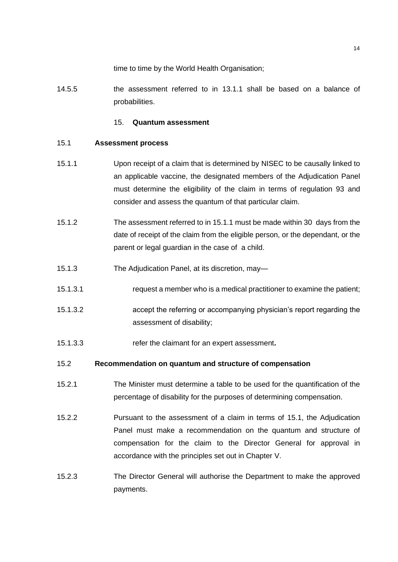time to time by the World Health Organisation;

14.5.5 the assessment referred to in 13.1.1 shall be based on a balance of probabilities.

#### 15. **Quantum assessment**

#### <span id="page-13-1"></span>15.1 **Assessment process**

- <span id="page-13-0"></span>15.1.1 Upon receipt of a claim that is determined by NISEC to be causally linked to an applicable vaccine, the designated members of the Adjudication Panel must determine the eligibility of the claim in terms of regulation 93 and consider and assess the quantum of that particular claim.
- 15.1.2 The assessment referred to in [15.1.1](#page-13-0) must be made within 30 days from the date of receipt of the claim from the eligible person, or the dependant, or the parent or legal guardian in the case of a child.
- 15.1.3 The Adjudication Panel, at its discretion, may—
- 15.1.3.1 request a member who is a medical practitioner to examine the patient;
- 15.1.3.2 accept the referring or accompanying physician's report regarding the assessment of disability;
- 15.1.3.3 refer the claimant for an expert assessment**.**

## 15.2 **Recommendation on quantum and structure of compensation**

- 15.2.1 The Minister must determine a table to be used for the quantification of the percentage of disability for the purposes of determining compensation.
- 15.2.2 Pursuant to the assessment of a claim in terms of [15.1,](#page-13-1) the Adjudication Panel must make a recommendation on the quantum and structure of compensation for the claim to the Director General for approval in accordance with the principles set out in Chapter V.
- 15.2.3 The Director General will authorise the Department to make the approved payments.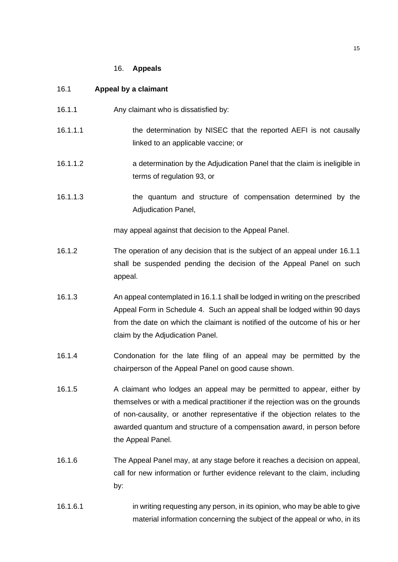#### 16. **Appeals**

#### 16.1 **Appeal by a claimant**

- <span id="page-14-0"></span>16.1.1 Any claimant who is dissatisfied by:
- 16.1.1.1 the determination by NISEC that the reported AEFI is not causally linked to an applicable vaccine; or
- 16.1.1.2 a determination by the Adjudication Panel that the claim is ineligible in terms of regulation 93, or
- 16.1.1.3 the quantum and structure of compensation determined by the Adjudication Panel,

may appeal against that decision to the Appeal Panel.

- 16.1.2 The operation of any decision that is the subject of an appeal under [16.1.1](#page-14-0) shall be suspended pending the decision of the Appeal Panel on such appeal.
- <span id="page-14-1"></span>16.1.3 An appeal contemplated in [16.1.1](#page-14-0) shall be lodged in writing on the prescribed Appeal Form in Schedule 4. Such an appeal shall be lodged within 90 days from the date on which the claimant is notified of the outcome of his or her claim by the Adjudication Panel.
- 16.1.4 Condonation for the late filing of an appeal may be permitted by the chairperson of the Appeal Panel on good cause shown.
- 16.1.5 A claimant who lodges an appeal may be permitted to appear, either by themselves or with a medical practitioner if the rejection was on the grounds of non-causality, or another representative if the objection relates to the awarded quantum and structure of a compensation award, in person before the Appeal Panel.
- <span id="page-14-2"></span>16.1.6 The Appeal Panel may, at any stage before it reaches a decision on appeal, call for new information or further evidence relevant to the claim, including by:
- 16.1.6.1 in writing requesting any person, in its opinion, who may be able to give material information concerning the subject of the appeal or who, in its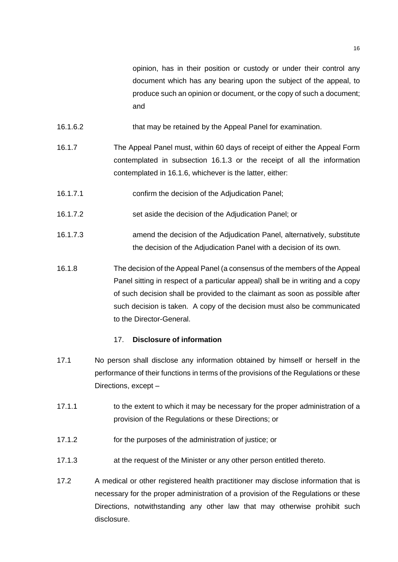- 16.1.6.2 that may be retained by the Appeal Panel for examination.
- 16.1.7 The Appeal Panel must, within 60 days of receipt of either the Appeal Form contemplated in subsection [16.1.3](#page-14-1) or the receipt of all the information contemplated in [16.1.6,](#page-14-2) whichever is the latter, either:
- 16.1.7.1 confirm the decision of the Adjudication Panel;
- 16.1.7.2 set aside the decision of the Adjudication Panel; or
- 16.1.7.3 amend the decision of the Adjudication Panel, alternatively, substitute the decision of the Adjudication Panel with a decision of its own.
- 16.1.8 The decision of the Appeal Panel (a consensus of the members of the Appeal Panel sitting in respect of a particular appeal) shall be in writing and a copy of such decision shall be provided to the claimant as soon as possible after such decision is taken. A copy of the decision must also be communicated to the Director-General.

#### 17. **Disclosure of information**

- 17.1 No person shall disclose any information obtained by himself or herself in the performance of their functions in terms of the provisions of the Regulations or these Directions, except –
- 17.1.1 to the extent to which it may be necessary for the proper administration of a provision of the Regulations or these Directions; or
- 17.1.2 for the purposes of the administration of justice; or
- 17.1.3 at the request of the Minister or any other person entitled thereto.
- 17.2 A medical or other registered health practitioner may disclose information that is necessary for the proper administration of a provision of the Regulations or these Directions, notwithstanding any other law that may otherwise prohibit such disclosure.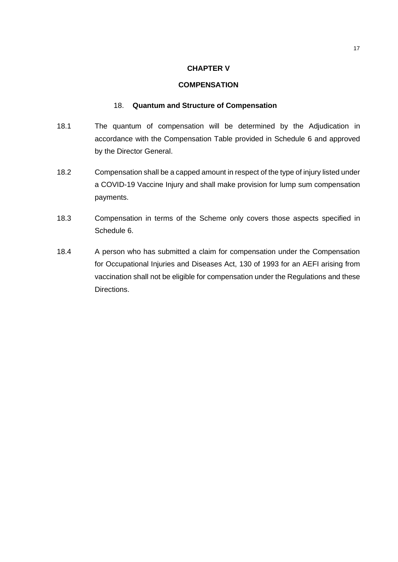#### **CHAPTER V**

#### **COMPENSATION**

#### 18. **Quantum and Structure of Compensation**

- 18.1 The quantum of compensation will be determined by the Adjudication in accordance with the Compensation Table provided in Schedule 6 and approved by the Director General.
- 18.2 Compensation shall be a capped amount in respect of the type of injury listed under a COVID-19 Vaccine Injury and shall make provision for lump sum compensation payments.
- 18.3 Compensation in terms of the Scheme only covers those aspects specified in Schedule 6.
- 18.4 A person who has submitted a claim for compensation under the Compensation for Occupational Injuries and Diseases Act, 130 of 1993 for an AEFI arising from vaccination shall not be eligible for compensation under the Regulations and these Directions.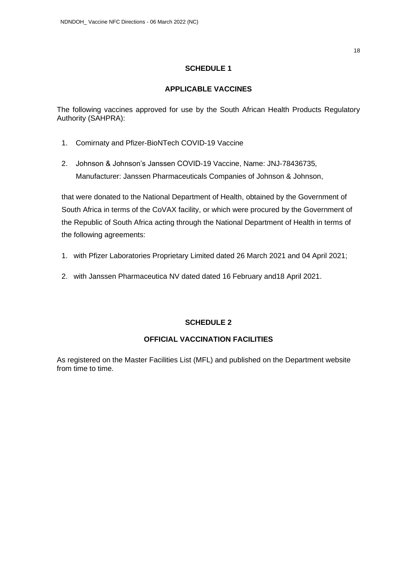## **APPLICABLE VACCINES**

The following vaccines approved for use by the South African Health Products Regulatory Authority (SAHPRA):

- 1. Comirnaty and Pfizer-BioNTech COVID-19 Vaccine
- 2. Johnson & Johnson's Janssen COVID-19 Vaccine, Name: JNJ-78436735, Manufacturer: Janssen Pharmaceuticals Companies of Johnson & Johnson,

that were donated to the National Department of Health, obtained by the Government of South Africa in terms of the CoVAX facility, or which were procured by the Government of the Republic of South Africa acting through the National Department of Health in terms of the following agreements:

- 1. with Pfizer Laboratories Proprietary Limited dated 26 March 2021 and 04 April 2021;
- 2. with Janssen Pharmaceutica NV dated dated 16 February and18 April 2021.

# **SCHEDULE 2**

# **OFFICIAL VACCINATION FACILITIES**

As registered on the Master Facilities List (MFL) and published on the Department website from time to time.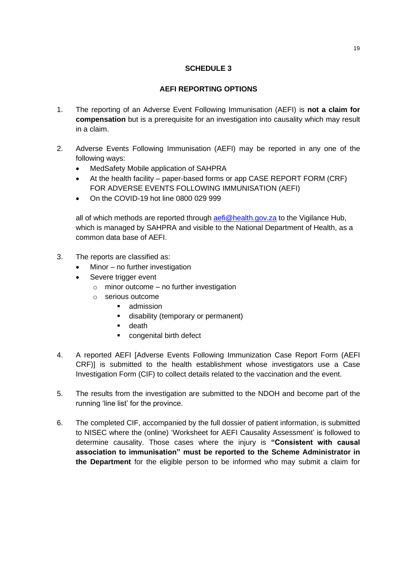# **AEFI REPORTING OPTIONS**

- 1. The reporting of an Adverse Event Following Immunisation (AEFI) is **not a claim for compensation** but is a prerequisite for an investigation into causality which may result in a claim.
- 2. Adverse Events Following Immunisation (AEFI) may be reported in any one of the following ways:
	- MedSafety Mobile application of SAHPRA
	- At the health facility paper-based forms or app CASE REPORT FORM (CRF) FOR ADVERSE EVENTS FOLLOWING IMMUNISATION (AEFI)
	- On the COVID-19 hot line 0800 029 999

all of which methods are reported through [aefi@health.gov.za](mailto:aefi@health.gov.za) to the Vigilance Hub, which is managed by SAHPRA and visible to the National Department of Health, as a common data base of AEFI.

- 3. The reports are classified as:
	- Minor no further investigation
	- Severe trigger event
		- $\circ$  minor outcome no further investigation
		- o serious outcome
			- admission
			- disability (temporary or permanent)
			- death
			- congenital birth defect
- 4. A reported AEFI [Adverse Events Following Immunization Case Report Form (AEFI CRF)] is submitted to the health establishment whose investigators use a Case Investigation Form (CIF) to collect details related to the vaccination and the event.
- 5. The results from the investigation are submitted to the NDOH and become part of the running 'line list' for the province.
- 6. The completed CIF, accompanied by the full dossier of patient information, is submitted to NISEC where the (online) 'Worksheet for AEFI Causality Assessment' is followed to determine causality. Those cases where the injury is **"Consistent with causal association to immunisation" must be reported to the Scheme Administrator in the Department** for the eligible person to be informed who may submit a claim for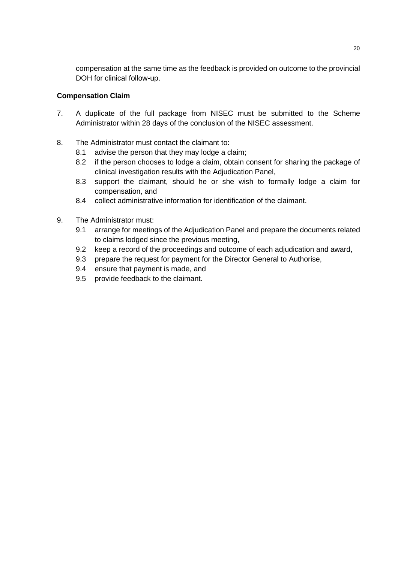compensation at the same time as the feedback is provided on outcome to the provincial DOH for clinical follow-up.

# **Compensation Claim**

- 7. A duplicate of the full package from NISEC must be submitted to the Scheme Administrator within 28 days of the conclusion of the NISEC assessment.
- 8. The Administrator must contact the claimant to:
	- 8.1 advise the person that they may lodge a claim;
	- 8.2 if the person chooses to lodge a claim, obtain consent for sharing the package of clinical investigation results with the Adjudication Panel,
	- 8.3 support the claimant, should he or she wish to formally lodge a claim for compensation, and
	- 8.4 collect administrative information for identification of the claimant.
- 9. The Administrator must:
	- 9.1 arrange for meetings of the Adjudication Panel and prepare the documents related to claims lodged since the previous meeting,
	- 9.2 keep a record of the proceedings and outcome of each adjudication and award,
	- 9.3 prepare the request for payment for the Director General to Authorise,
	- 9.4 ensure that payment is made, and
	- 9.5 provide feedback to the claimant.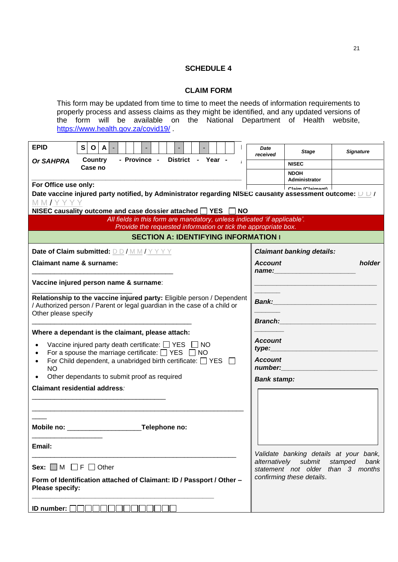#### **CLAIM FORM**

This form may be updated from time to time to meet the needs of information requirements to properly process and assess claims as they might be identified, and any updated versions of the form will be available on the National Department of Health website, <https://www.health.gov.za/covid19/>

| <b>EPID</b>                                                                                                                                        | S<br>$\mathbf{o}$                                       | A l |  |  |  |  |  |  |  |  |  |  |  |              | Date<br>received                                                                                                                                                               | <b>Stage</b>                                                                                                                                                                                                                   | <b>Signature</b>                                     |  |  |
|----------------------------------------------------------------------------------------------------------------------------------------------------|---------------------------------------------------------|-----|--|--|--|--|--|--|--|--|--|--|--|--------------|--------------------------------------------------------------------------------------------------------------------------------------------------------------------------------|--------------------------------------------------------------------------------------------------------------------------------------------------------------------------------------------------------------------------------|------------------------------------------------------|--|--|
| Or SAHPRA                                                                                                                                          | - Province -<br>District - Year -<br>Country<br>Case no |     |  |  |  |  |  |  |  |  |  |  |  | <b>NISEC</b> |                                                                                                                                                                                |                                                                                                                                                                                                                                |                                                      |  |  |
|                                                                                                                                                    |                                                         |     |  |  |  |  |  |  |  |  |  |  |  |              |                                                                                                                                                                                | <b>NDOH</b>                                                                                                                                                                                                                    |                                                      |  |  |
| For Office use only:                                                                                                                               |                                                         |     |  |  |  |  |  |  |  |  |  |  |  |              |                                                                                                                                                                                | Administrator<br>Claim (Claimant)                                                                                                                                                                                              |                                                      |  |  |
|                                                                                                                                                    |                                                         |     |  |  |  |  |  |  |  |  |  |  |  |              |                                                                                                                                                                                | Date vaccine injured party notified, by Administrator regarding NISEC causality assessment outcome: $\cup \cup I$                                                                                                              |                                                      |  |  |
| MM/YYYY                                                                                                                                            |                                                         |     |  |  |  |  |  |  |  |  |  |  |  |              |                                                                                                                                                                                |                                                                                                                                                                                                                                |                                                      |  |  |
| NISEC causality outcome and case dossier attached □ YES □ NO                                                                                       |                                                         |     |  |  |  |  |  |  |  |  |  |  |  |              |                                                                                                                                                                                |                                                                                                                                                                                                                                |                                                      |  |  |
| All fields in this form are mandatory, unless indicated 'if applicable'.<br>Provide the requested information or tick the appropriate box.         |                                                         |     |  |  |  |  |  |  |  |  |  |  |  |              |                                                                                                                                                                                |                                                                                                                                                                                                                                |                                                      |  |  |
| <b>SECTION A: IDENTIFYING INFORMATION I</b>                                                                                                        |                                                         |     |  |  |  |  |  |  |  |  |  |  |  |              |                                                                                                                                                                                |                                                                                                                                                                                                                                |                                                      |  |  |
| Date of Claim submitted: DD/MM/YYYY                                                                                                                |                                                         |     |  |  |  |  |  |  |  |  |  |  |  |              |                                                                                                                                                                                | <b>Claimant banking details:</b>                                                                                                                                                                                               |                                                      |  |  |
| <b>Claimant name &amp; surname:</b>                                                                                                                |                                                         |     |  |  |  |  |  |  |  |  |  |  |  |              | <b>Account</b>                                                                                                                                                                 |                                                                                                                                                                                                                                | holder                                               |  |  |
|                                                                                                                                                    |                                                         |     |  |  |  |  |  |  |  |  |  |  |  |              |                                                                                                                                                                                | name: the contract of the contract of the contract of the contract of the contract of the contract of the contract of the contract of the contract of the contract of the contract of the contract of the contract of the cont |                                                      |  |  |
| Vaccine injured person name & surname:                                                                                                             |                                                         |     |  |  |  |  |  |  |  |  |  |  |  |              |                                                                                                                                                                                |                                                                                                                                                                                                                                |                                                      |  |  |
|                                                                                                                                                    |                                                         |     |  |  |  |  |  |  |  |  |  |  |  |              |                                                                                                                                                                                |                                                                                                                                                                                                                                |                                                      |  |  |
| Relationship to the vaccine injured party: Eligible person / Dependent<br>/ Authorized person / Parent or legal guardian in the case of a child or |                                                         |     |  |  |  |  |  |  |  |  |  |  |  |              | <b>Bank: Bank: Bank: Bank: Bank: Bank: Bank: Bank: Bank: Bank: Bank: Bank: Bank: Bank: Bank: Bank: Bank: Bank: Bank: Bank: Bank: Bank: Bank: Bank: Bank: Bank: Bank: Bank:</b> |                                                                                                                                                                                                                                |                                                      |  |  |
| Other please specify                                                                                                                               |                                                         |     |  |  |  |  |  |  |  |  |  |  |  |              |                                                                                                                                                                                |                                                                                                                                                                                                                                |                                                      |  |  |
|                                                                                                                                                    |                                                         |     |  |  |  |  |  |  |  |  |  |  |  |              | <b>Branch: Example 2008</b>                                                                                                                                                    |                                                                                                                                                                                                                                |                                                      |  |  |
| Where a dependant is the claimant, please attach:                                                                                                  |                                                         |     |  |  |  |  |  |  |  |  |  |  |  |              |                                                                                                                                                                                |                                                                                                                                                                                                                                |                                                      |  |  |
| Vaccine injured party death certificate: $\Box$ YES $\Box$ NO<br>$\bullet$                                                                         |                                                         |     |  |  |  |  |  |  |  |  |  |  |  |              | <b>Account</b>                                                                                                                                                                 |                                                                                                                                                                                                                                |                                                      |  |  |
| For a spouse the marriage certificate: $\Box$ YES $\Box$ NO<br>$\bullet$                                                                           |                                                         |     |  |  |  |  |  |  |  |  |  |  |  |              | <i>type:_______</i>                                                                                                                                                            |                                                                                                                                                                                                                                |                                                      |  |  |
| For Child dependent, a unabridged birth certificate: $\Box$ YES $\Box$<br>$\bullet$<br><b>NO</b>                                                   |                                                         |     |  |  |  |  |  |  |  |  |  |  |  |              | <b>Account</b><br>number:                                                                                                                                                      |                                                                                                                                                                                                                                |                                                      |  |  |
| Other dependants to submit proof as required                                                                                                       |                                                         |     |  |  |  |  |  |  |  |  |  |  |  |              |                                                                                                                                                                                |                                                                                                                                                                                                                                |                                                      |  |  |
| <b>Claimant residential address:</b>                                                                                                               |                                                         |     |  |  |  |  |  |  |  |  |  |  |  |              | <b>Bank stamp:</b>                                                                                                                                                             |                                                                                                                                                                                                                                |                                                      |  |  |
|                                                                                                                                                    |                                                         |     |  |  |  |  |  |  |  |  |  |  |  |              |                                                                                                                                                                                |                                                                                                                                                                                                                                |                                                      |  |  |
|                                                                                                                                                    |                                                         |     |  |  |  |  |  |  |  |  |  |  |  |              |                                                                                                                                                                                |                                                                                                                                                                                                                                |                                                      |  |  |
|                                                                                                                                                    |                                                         |     |  |  |  |  |  |  |  |  |  |  |  |              |                                                                                                                                                                                |                                                                                                                                                                                                                                |                                                      |  |  |
|                                                                                                                                                    |                                                         |     |  |  |  |  |  |  |  |  |  |  |  |              |                                                                                                                                                                                |                                                                                                                                                                                                                                |                                                      |  |  |
|                                                                                                                                                    |                                                         |     |  |  |  |  |  |  |  |  |  |  |  |              |                                                                                                                                                                                |                                                                                                                                                                                                                                |                                                      |  |  |
| Email:                                                                                                                                             |                                                         |     |  |  |  |  |  |  |  |  |  |  |  |              |                                                                                                                                                                                |                                                                                                                                                                                                                                |                                                      |  |  |
|                                                                                                                                                    |                                                         |     |  |  |  |  |  |  |  |  |  |  |  |              |                                                                                                                                                                                |                                                                                                                                                                                                                                | Validate banking details at your bank,               |  |  |
| Sex: $\Box M \Box F \Box$ Other                                                                                                                    |                                                         |     |  |  |  |  |  |  |  |  |  |  |  |              | alternatively                                                                                                                                                                  | submit                                                                                                                                                                                                                         | stamped<br>bank<br>statement not older than 3 months |  |  |
| Form of Identification attached of Claimant: ID / Passport / Other -                                                                               |                                                         |     |  |  |  |  |  |  |  |  |  |  |  |              |                                                                                                                                                                                | confirming these details.                                                                                                                                                                                                      |                                                      |  |  |
| <b>Please specify:</b>                                                                                                                             |                                                         |     |  |  |  |  |  |  |  |  |  |  |  |              |                                                                                                                                                                                |                                                                                                                                                                                                                                |                                                      |  |  |
|                                                                                                                                                    |                                                         |     |  |  |  |  |  |  |  |  |  |  |  |              |                                                                                                                                                                                |                                                                                                                                                                                                                                |                                                      |  |  |
| ID number:                                                                                                                                         |                                                         |     |  |  |  |  |  |  |  |  |  |  |  |              |                                                                                                                                                                                |                                                                                                                                                                                                                                |                                                      |  |  |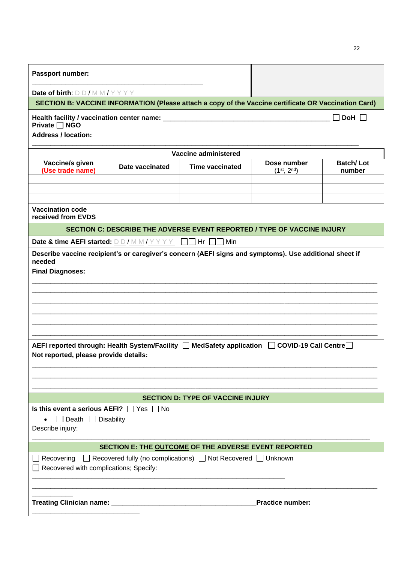| Passport number:                                                                                                                       |                                                                                             |                                                                                                      |                         |            |  |  |  |  |
|----------------------------------------------------------------------------------------------------------------------------------------|---------------------------------------------------------------------------------------------|------------------------------------------------------------------------------------------------------|-------------------------|------------|--|--|--|--|
| Date of birth: $D D / M M / Y Y Y Y$                                                                                                   |                                                                                             |                                                                                                      |                         |            |  |  |  |  |
|                                                                                                                                        |                                                                                             | SECTION B: VACCINE INFORMATION (Please attach a copy of the Vaccine certificate OR Vaccination Card) |                         |            |  |  |  |  |
| Private □ NGO                                                                                                                          |                                                                                             |                                                                                                      |                         | DoH $\Box$ |  |  |  |  |
| <b>Address / location:</b>                                                                                                             |                                                                                             |                                                                                                      |                         |            |  |  |  |  |
|                                                                                                                                        |                                                                                             | Vaccine administered                                                                                 |                         |            |  |  |  |  |
| Vaccine/s given<br>(Use trade name)                                                                                                    | <b>Batch/Lot</b><br>Dose number<br>Date vaccinated<br>Time vaccinated<br>$(1^{st}, 2^{nd})$ |                                                                                                      |                         |            |  |  |  |  |
|                                                                                                                                        |                                                                                             |                                                                                                      |                         |            |  |  |  |  |
| <b>Vaccination code</b><br>received from EVDS                                                                                          |                                                                                             |                                                                                                      |                         |            |  |  |  |  |
|                                                                                                                                        |                                                                                             | SECTION C: DESCRIBE THE ADVERSE EVENT REPORTED / TYPE OF VACCINE INJURY                              |                         |            |  |  |  |  |
| Date & time AEFI started: $D D / M M / Y Y Y Y$ $\Box$ Hr $\Box$ Min                                                                   |                                                                                             |                                                                                                      |                         |            |  |  |  |  |
| AEFI reported through: Health System/Facility □ MedSafety application □ COVID-19 Call Centre□<br>Not reported, please provide details: |                                                                                             |                                                                                                      |                         |            |  |  |  |  |
|                                                                                                                                        |                                                                                             | <b>SECTION D: TYPE OF VACCINE INJURY</b>                                                             |                         |            |  |  |  |  |
| Is this event a serious AEFI? $\Box$ Yes $\Box$ No<br>$\Box$ Death $\Box$ Disability<br>Describe injury:                               |                                                                                             |                                                                                                      |                         |            |  |  |  |  |
|                                                                                                                                        |                                                                                             | SECTION E: THE OUTCOME OF THE ADVERSE EVENT REPORTED                                                 |                         |            |  |  |  |  |
| Recovering<br>Recovered with complications; Specify:                                                                                   |                                                                                             | $\Box$ Recovered fully (no complications) $\Box$ Not Recovered $\Box$ Unknown                        |                         |            |  |  |  |  |
|                                                                                                                                        |                                                                                             |                                                                                                      | <b>Practice number:</b> |            |  |  |  |  |

22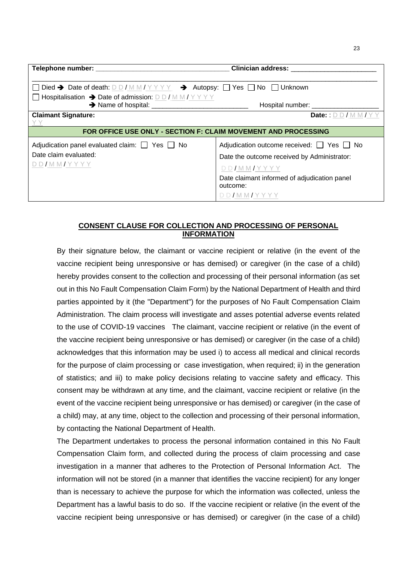| ۰.<br>×<br>۰. |
|---------------|

|                                                                                                                                                                              | <b>Clinician address:</b>                                                                                                                                                                  |
|------------------------------------------------------------------------------------------------------------------------------------------------------------------------------|--------------------------------------------------------------------------------------------------------------------------------------------------------------------------------------------|
| $\Box$ Died → Date of death: D D / M M / Y Y Y → Autopsy: $\Box$ Yes $\Box$ No $\Box$ Unknown<br>$\Box$ Hospitalisation $\rightarrow$ Date of admission: D D / M M / Y Y Y Y | Hospital number: _____________________                                                                                                                                                     |
| <b>Claimant Signature:</b>                                                                                                                                                   | Date:: $D$ $D$ / $M$ $M$ / $Y$                                                                                                                                                             |
| FOR OFFICE USE ONLY - SECTION F: CLAIM MOVEMENT AND PROCESSING                                                                                                               |                                                                                                                                                                                            |
| Adjudication panel evaluated claim: $\Box$ Yes $\Box$ No<br>Date claim evaluated:<br>DD/MMYYYYY                                                                              | Adjudication outcome received: $\Box$ Yes $\Box$ No<br>Date the outcome received by Administrator:<br>DD/MM/YYYY<br>Date claimant informed of adjudication panel<br>outcome:<br>DD/MM/YYYY |

# **CONSENT CLAUSE FOR COLLECTION AND PROCESSING OF PERSONAL INFORMATION**

By their signature below, the claimant or vaccine recipient or relative (in the event of the vaccine recipient being unresponsive or has demised) or caregiver (in the case of a child) hereby provides consent to the collection and processing of their personal information (as set out in this No Fault Compensation Claim Form) by the National Department of Health and third parties appointed by it (the "Department") for the purposes of No Fault Compensation Claim Administration. The claim process will investigate and asses potential adverse events related to the use of COVID-19 vaccines The claimant, vaccine recipient or relative (in the event of the vaccine recipient being unresponsive or has demised) or caregiver (in the case of a child) acknowledges that this information may be used i) to access all medical and clinical records for the purpose of claim processing or case investigation, when required; ii) in the generation of statistics; and iii) to make policy decisions relating to vaccine safety and efficacy. This consent may be withdrawn at any time, and the claimant, vaccine recipient or relative (in the event of the vaccine recipient being unresponsive or has demised) or caregiver (in the case of a child) may, at any time, object to the collection and processing of their personal information, by contacting the National Department of Health.

The Department undertakes to process the personal information contained in this No Fault Compensation Claim form, and collected during the process of claim processing and case investigation in a manner that adheres to the Protection of Personal Information Act. The information will not be stored (in a manner that identifies the vaccine recipient) for any longer than is necessary to achieve the purpose for which the information was collected, unless the Department has a lawful basis to do so. If the vaccine recipient or relative (in the event of the vaccine recipient being unresponsive or has demised) or caregiver (in the case of a child)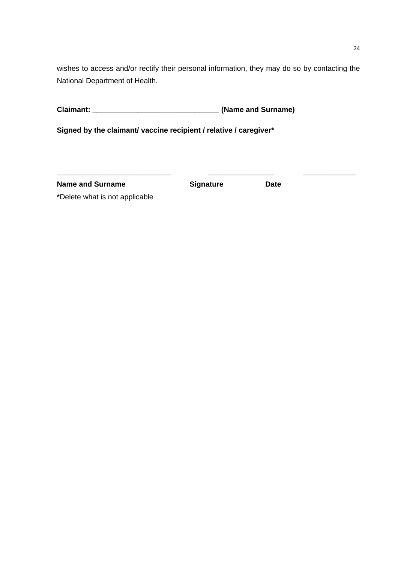wishes to access and/or rectify their personal information, they may do so by contacting the National Department of Health.

**Claimant: \_\_\_\_\_\_\_\_\_\_\_\_\_\_\_\_\_\_\_\_\_\_\_\_\_\_\_\_\_\_\_ (Name and Surname)**

**Signed by the claimant/ vaccine recipient / relative / caregiver\***

**Name and Surname <b>Constructer Signature Date** 

**\_\_\_\_\_\_\_\_\_\_\_\_\_\_\_\_\_\_\_\_\_\_\_\_\_\_\_\_ \_\_\_\_\_\_\_\_\_\_\_\_\_\_\_\_ \_\_\_\_\_\_\_\_\_\_\_\_\_**

\*Delete what is not applicable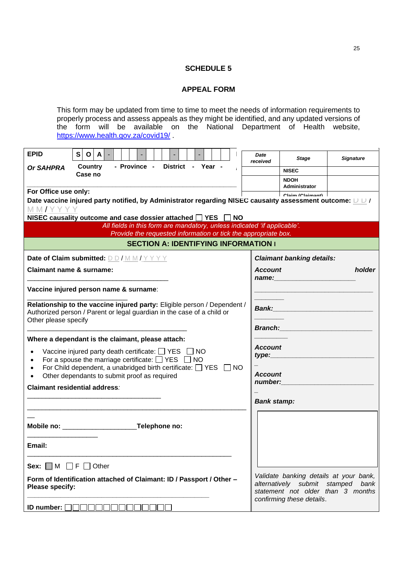## **APPEAL FORM**

This form may be updated from time to time to meet the needs of information requirements to properly process and assess appeals as they might be identified, and any updated versions of the form will be available on the National Department of Health website, <https://www.health.gov.za/covid19/>

| <b>EPID</b>                                                                                                                                                                | S. | $\mathbf{o}$<br>A |              |               |  |  |                   |  |           | Date<br>received                                                         | <b>Stage</b>                                                                                                        | <b>Signature</b> |  |  |
|----------------------------------------------------------------------------------------------------------------------------------------------------------------------------|----|-------------------|--------------|---------------|--|--|-------------------|--|-----------|--------------------------------------------------------------------------|---------------------------------------------------------------------------------------------------------------------|------------------|--|--|
| <b>Or SAHPRA</b>                                                                                                                                                           |    | Country           | - Province - |               |  |  | District - Year - |  |           |                                                                          | <b>NISEC</b>                                                                                                        |                  |  |  |
|                                                                                                                                                                            |    | Case no           |              |               |  |  |                   |  |           |                                                                          | <b>NDOH</b>                                                                                                         |                  |  |  |
| For Office use only:                                                                                                                                                       |    |                   |              |               |  |  |                   |  |           |                                                                          | Administrator<br>Claim (Claimant)                                                                                   |                  |  |  |
|                                                                                                                                                                            |    |                   |              |               |  |  |                   |  |           |                                                                          | Date vaccine injured party notified, by Administrator regarding NISEC causality assessment outcome: $\Box$ D        |                  |  |  |
| MM/YYYY                                                                                                                                                                    |    |                   |              |               |  |  |                   |  |           |                                                                          |                                                                                                                     |                  |  |  |
| NISEC causality outcome and case dossier attached $\Box$ YES $\Box$                                                                                                        |    |                   |              |               |  |  |                   |  | <b>NO</b> | All fields in this form are mandatory, unless indicated 'if applicable'. |                                                                                                                     |                  |  |  |
|                                                                                                                                                                            |    |                   |              |               |  |  |                   |  |           | Provide the requested information or tick the appropriate box.           |                                                                                                                     |                  |  |  |
|                                                                                                                                                                            |    |                   |              |               |  |  |                   |  |           | <b>SECTION A: IDENTIFYING INFORMATION I</b>                              |                                                                                                                     |                  |  |  |
| Date of Claim submitted: DD/MM/YYYY                                                                                                                                        |    |                   |              |               |  |  |                   |  |           |                                                                          | <b>Claimant banking details:</b>                                                                                    |                  |  |  |
| <b>Claimant name &amp; surname:</b>                                                                                                                                        |    |                   |              |               |  |  |                   |  |           | <b>Account</b><br>name:                                                  |                                                                                                                     | holder           |  |  |
| Vaccine injured person name & surname:                                                                                                                                     |    |                   |              |               |  |  |                   |  |           |                                                                          |                                                                                                                     |                  |  |  |
| Relationship to the vaccine injured party: Eligible person / Dependent /<br>Authorized person / Parent or legal guardian in the case of a child or<br>Other please specify |    |                   |              |               |  |  |                   |  |           |                                                                          | <b>Bank: Bank</b>                                                                                                   |                  |  |  |
|                                                                                                                                                                            |    |                   |              |               |  |  |                   |  |           | <b>Branch: Example 1999</b>                                              |                                                                                                                     |                  |  |  |
| Where a dependant is the claimant, please attach:                                                                                                                          |    |                   |              |               |  |  |                   |  |           |                                                                          | <b>Account</b>                                                                                                      |                  |  |  |
| Vaccine injured party death certificate: $\Box$ YES $\Box$ NO<br>For a spouse the marriage certificate: $\Box$ YES $\Box$ NO                                               |    |                   |              |               |  |  |                   |  |           |                                                                          |                                                                                                                     |                  |  |  |
| For Child dependent, a unabridged birth certificate: $\Box$ YES $\Box$ NO                                                                                                  |    |                   |              |               |  |  |                   |  |           |                                                                          |                                                                                                                     |                  |  |  |
| Other dependants to submit proof as required                                                                                                                               |    |                   |              |               |  |  |                   |  |           |                                                                          | <b>Account</b><br>number:                                                                                           |                  |  |  |
| <b>Claimant residential address:</b>                                                                                                                                       |    |                   |              |               |  |  |                   |  |           |                                                                          |                                                                                                                     |                  |  |  |
|                                                                                                                                                                            |    |                   |              |               |  |  |                   |  |           | <b>Bank stamp:</b>                                                       |                                                                                                                     |                  |  |  |
|                                                                                                                                                                            |    |                   |              |               |  |  |                   |  |           |                                                                          |                                                                                                                     |                  |  |  |
|                                                                                                                                                                            |    |                   |              | Telephone no: |  |  |                   |  |           |                                                                          |                                                                                                                     |                  |  |  |
| Email:                                                                                                                                                                     |    |                   |              |               |  |  |                   |  |           |                                                                          |                                                                                                                     |                  |  |  |
|                                                                                                                                                                            |    |                   |              |               |  |  |                   |  |           |                                                                          |                                                                                                                     |                  |  |  |
| Sex: $\Box M \Box F \Box$ Other                                                                                                                                            |    |                   |              |               |  |  |                   |  |           |                                                                          |                                                                                                                     |                  |  |  |
| Form of Identification attached of Claimant: ID / Passport / Other -<br>Please specify:                                                                                    |    |                   |              |               |  |  |                   |  |           |                                                                          | Validate banking details at your bank,<br>alternatively submit stamped<br>bank<br>statement not older than 3 months |                  |  |  |
| <b>ID number:</b> $\Box$                                                                                                                                                   |    |                   |              |               |  |  |                   |  |           |                                                                          | confirming these details.                                                                                           |                  |  |  |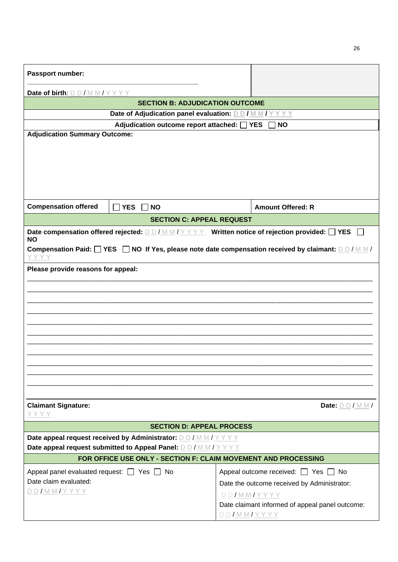| Passport number:                                                                                                                                             |                                                                               |  |  |  |  |  |
|--------------------------------------------------------------------------------------------------------------------------------------------------------------|-------------------------------------------------------------------------------|--|--|--|--|--|
| Date of birth: DD/MM/YYYY                                                                                                                                    |                                                                               |  |  |  |  |  |
| <b>SECTION B: ADJUDICATION OUTCOME</b>                                                                                                                       |                                                                               |  |  |  |  |  |
| Date of Adjudication panel evaluation: DD/MM/YYYY                                                                                                            |                                                                               |  |  |  |  |  |
| Adjudication outcome report attached: T YES                                                                                                                  | <b>NO</b>                                                                     |  |  |  |  |  |
| <b>Adjudication Summary Outcome:</b>                                                                                                                         |                                                                               |  |  |  |  |  |
| <b>Compensation offered</b><br>$\Box$ YES $\Box$ NO                                                                                                          | <b>Amount Offered: R</b>                                                      |  |  |  |  |  |
| <b>SECTION C: APPEAL REQUEST</b>                                                                                                                             |                                                                               |  |  |  |  |  |
| Date compensation offered rejected: $D D / M M / Y Y Y Y$ Written notice of rejection provided: $\Box$ YES<br><b>NO</b>                                      |                                                                               |  |  |  |  |  |
| Compensation Paid: $\square$ YES $\square$ NO If Yes, please note date compensation received by claimant: $\square \square / \square \blacksquare / \square$ |                                                                               |  |  |  |  |  |
| Please provide reasons for appeal:                                                                                                                           |                                                                               |  |  |  |  |  |
|                                                                                                                                                              |                                                                               |  |  |  |  |  |
|                                                                                                                                                              |                                                                               |  |  |  |  |  |
|                                                                                                                                                              |                                                                               |  |  |  |  |  |
|                                                                                                                                                              |                                                                               |  |  |  |  |  |
|                                                                                                                                                              |                                                                               |  |  |  |  |  |
|                                                                                                                                                              |                                                                               |  |  |  |  |  |
|                                                                                                                                                              |                                                                               |  |  |  |  |  |
|                                                                                                                                                              |                                                                               |  |  |  |  |  |
|                                                                                                                                                              |                                                                               |  |  |  |  |  |
|                                                                                                                                                              |                                                                               |  |  |  |  |  |
|                                                                                                                                                              |                                                                               |  |  |  |  |  |
| <b>Claimant Signature:</b><br>YYYY                                                                                                                           | Date: $D D/M M/$                                                              |  |  |  |  |  |
| <b>SECTION D: APPEAL PROCESS</b>                                                                                                                             |                                                                               |  |  |  |  |  |
| Date appeal request received by Administrator: DD/MM/YYYY                                                                                                    |                                                                               |  |  |  |  |  |
| Date appeal request submitted to Appeal Panel: DD/MM/YYYY                                                                                                    |                                                                               |  |  |  |  |  |
| FOR OFFICE USE ONLY - SECTION F: CLAIM MOVEMENT AND PROCESSING                                                                                               |                                                                               |  |  |  |  |  |
| Appeal panel evaluated request: $\Box$ Yes $\Box$ No                                                                                                         | Appeal outcome received: $\Box$ Yes $\Box$ No                                 |  |  |  |  |  |
| Date claim evaluated:                                                                                                                                        | Date the outcome received by Administrator:                                   |  |  |  |  |  |
| <u>D D / M M / Y Y Y Y</u>                                                                                                                                   | $DD/MMYYYYY$                                                                  |  |  |  |  |  |
|                                                                                                                                                              | Date claimant informed of appeal panel outcome:<br><u>D D / M M / Y Y Y Y</u> |  |  |  |  |  |